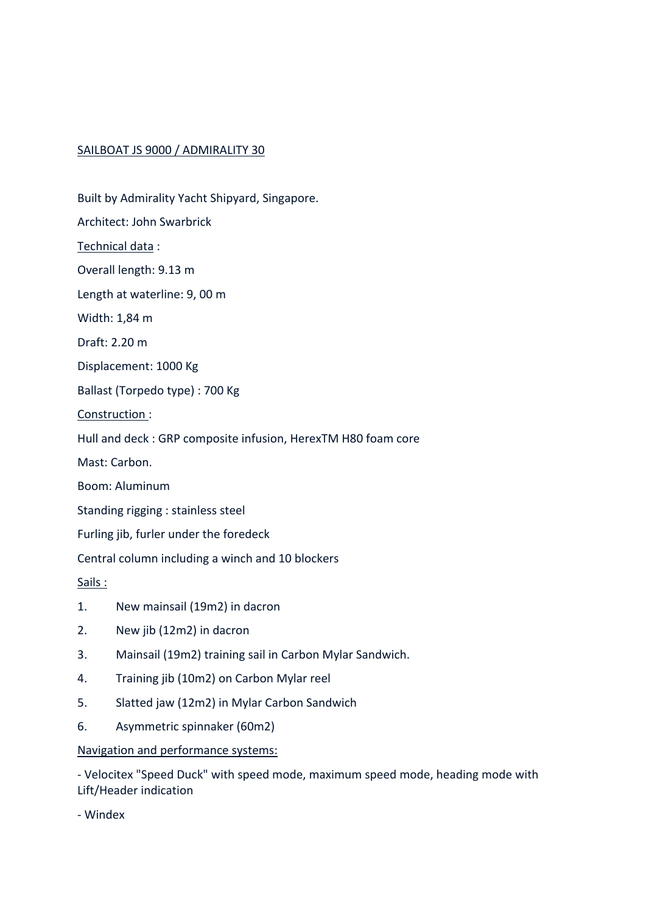### SAILBOAT JS 9000 / ADMIRALITY 30

- Built by Admirality Yacht Shipyard, Singapore. Architect: John Swarbrick Technical data : Overall length: 9.13 m Length at waterline: 9, 00 m Width: 1,84 m Draft: 2.20 m Displacement: 1000 Kg Ballast (Torpedo type) : 700 Kg Construction : Hull and deck : GRP composite infusion, HerexTM H80 foam core Mast: Carbon. Boom: Aluminum Standing rigging : stainless steel Furling jib, furler under the foredeck Central column including a winch and 10 blockers Sails : 1. New mainsail (19m2) in dacron 2. New jib (12m2) in dacron 3. Mainsail (19m2) training sail in Carbon Mylar Sandwich. 4. Training jib (10m2) on Carbon Mylar reel
- 5. Slatted jaw (12m2) in Mylar Carbon Sandwich
- 6. Asymmetric spinnaker (60m2)

#### Navigation and performance systems:

- Velocitex "Speed Duck" with speed mode, maximum speed mode, heading mode with Lift/Header indication

- Windex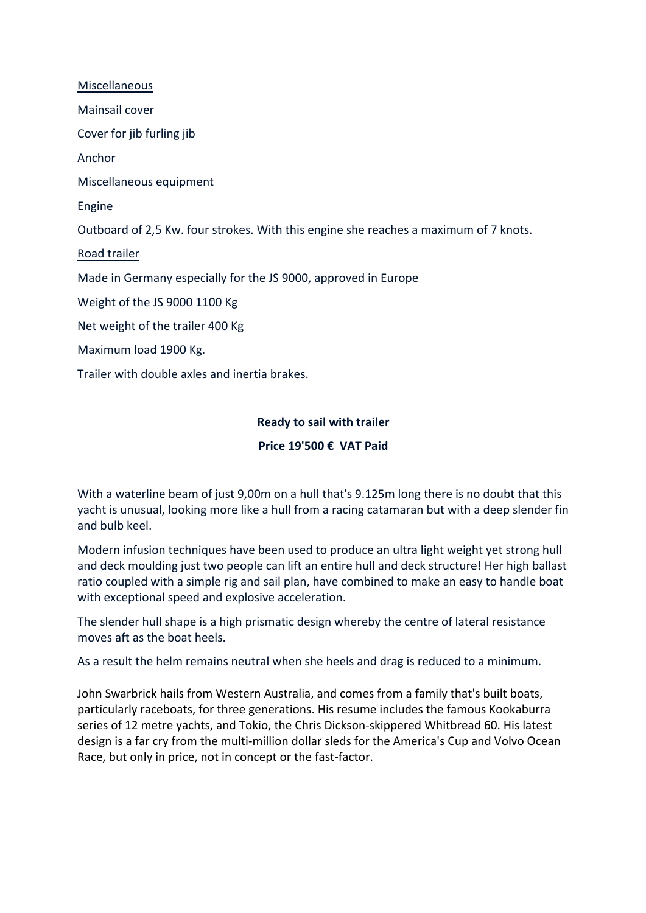Miscellaneous Mainsail cover Cover for jib furling jib Anchor Miscellaneous equipment Engine Outboard of 2,5 Kw. four strokes. With this engine she reaches a maximum of 7 knots. Road trailer Made in Germany especially for the JS 9000, approved in Europe Weight of the JS 9000 1100 Kg Net weight of the trailer 400 Kg Maximum load 1900 Kg. Trailer with double axles and inertia brakes.

**Ready to sail with trailer** 

# **Price 19'500 € VAT Paid**

With a waterline beam of just 9,00m on a hull that's 9.125m long there is no doubt that this yacht is unusual, looking more like a hull from a racing catamaran but with a deep slender fin and bulb keel.

Modern infusion techniques have been used to produce an ultra light weight yet strong hull and deck moulding just two people can lift an entire hull and deck structure! Her high ballast ratio coupled with a simple rig and sail plan, have combined to make an easy to handle boat with exceptional speed and explosive acceleration.

The slender hull shape is a high prismatic design whereby the centre of lateral resistance moves aft as the boat heels.

As a result the helm remains neutral when she heels and drag is reduced to a minimum.

John Swarbrick hails from Western Australia, and comes from a family that's built boats, particularly raceboats, for three generations. His resume includes the famous Kookaburra series of 12 metre yachts, and Tokio, the Chris Dickson-skippered Whitbread 60. His latest design is a far cry from the multi-million dollar sleds for the America's Cup and Volvo Ocean Race, but only in price, not in concept or the fast-factor.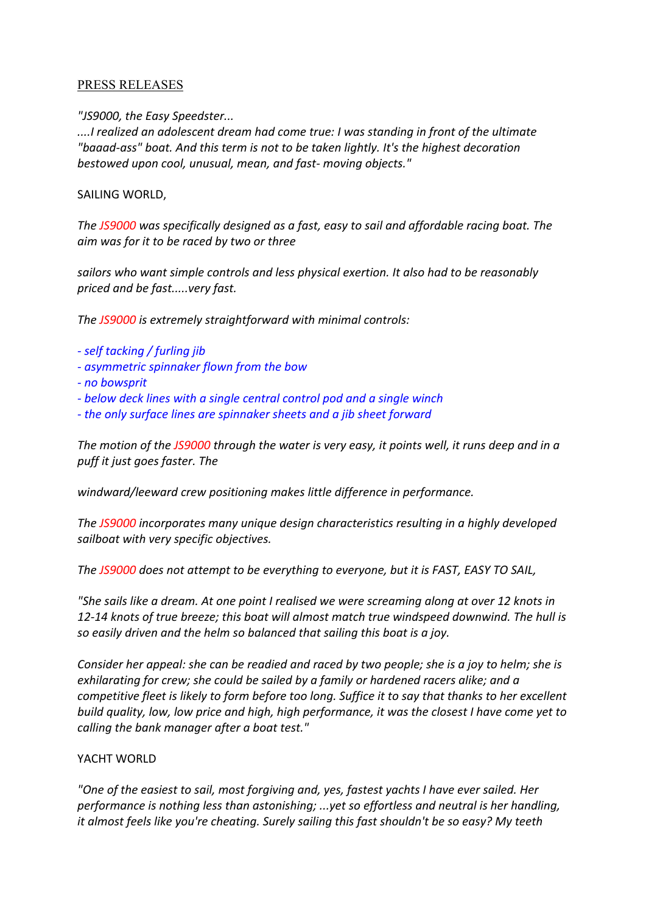### PRESS RELEASES

*"JS9000, the Easy Speedster...*

*....I realized an adolescent dream had come true: I was standing in front of the ultimate "baaad-ass" boat. And this term is not to be taken lightly. It's the highest decoration bestowed upon cool, unusual, mean, and fast- moving objects."* 

### SAILING WORLD,

*The JS9000 was specifically designed as a fast, easy to sail and affordable racing boat. The aim was for it to be raced by two or three* 

*sailors who want simple controls and less physical exertion. It also had to be reasonably priced and be fast.....very fast.* 

*The JS9000 is extremely straightforward with minimal controls:* 

- *- self tacking / furling jib*
- *- asymmetric spinnaker flown from the bow*
- *- no bowsprit*
- *- below deck lines with a single central control pod and a single winch*
- *- the only surface lines are spinnaker sheets and a jib sheet forward*

*The motion of the JS9000 through the water is very easy, it points well, it runs deep and in a puff it just goes faster. The* 

*windward/leeward crew positioning makes little difference in performance.* 

*The JS9000 incorporates many unique design characteristics resulting in a highly developed sailboat with very specific objectives.* 

*The JS9000 does not attempt to be everything to everyone, but it is FAST, EASY TO SAIL,* 

*"She sails like a dream. At one point I realised we were screaming along at over 12 knots in 12-14 knots of true breeze; this boat will almost match true windspeed downwind. The hull is so easily driven and the helm so balanced that sailing this boat is a joy.* 

*Consider her appeal: she can be readied and raced by two people; she is a joy to helm; she is exhilarating for crew; she could be sailed by a family or hardened racers alike; and a competitive fleet is likely to form before too long. Suffice it to say that thanks to her excellent build quality, low, low price and high, high performance, it was the closest I have come yet to calling the bank manager after a boat test."* 

## YACHT WORLD

*"One of the easiest to sail, most forgiving and, yes, fastest yachts I have ever sailed. Her performance is nothing less than astonishing; ...yet so effortless and neutral is her handling, it almost feels like you're cheating. Surely sailing this fast shouldn't be so easy? My teeth*